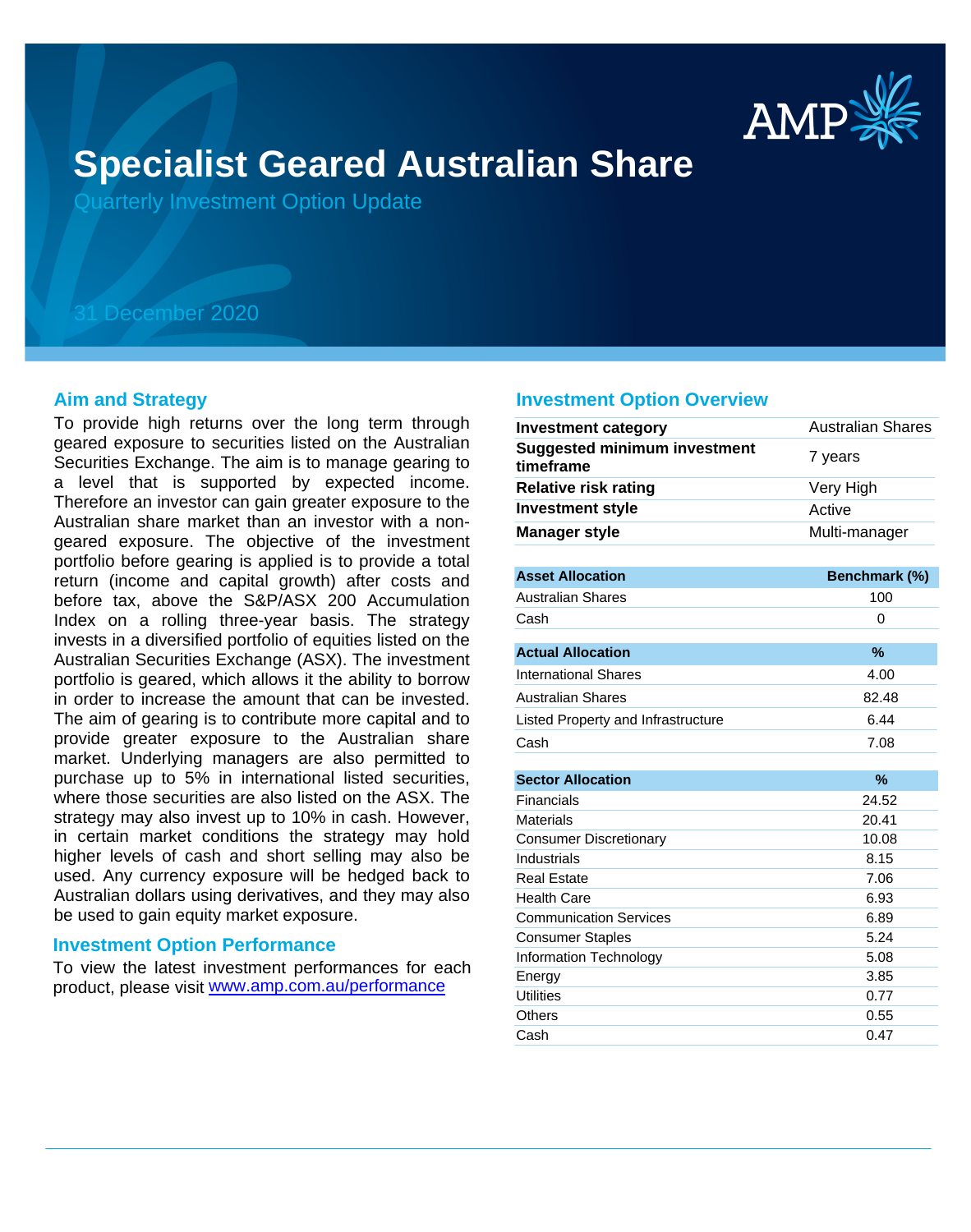

# **Specialist Geared Australian Share**

Quarterly Investment Option Update

## 31 December 2020

#### **Aim and Strategy**

To provide high returns over the long term through geared exposure to securities listed on the Australian Securities Exchange. The aim is to manage gearing to a level that is supported by expected income. Therefore an investor can gain greater exposure to the Australian share market than an investor with a nongeared exposure. The objective of the investment portfolio before gearing is applied is to provide a total return (income and capital growth) after costs and before tax, above the S&P/ASX 200 Accumulation Index on a rolling three-year basis. The strategy invests in a diversified portfolio of equities listed on the Australian Securities Exchange (ASX). The investment portfolio is geared, which allows it the ability to borrow in order to increase the amount that can be invested. The aim of gearing is to contribute more capital and to provide greater exposure to the Australian share market. Underlying managers are also permitted to purchase up to 5% in international listed securities, where those securities are also listed on the ASX. The strategy may also invest up to 10% in cash. However, in certain market conditions the strategy may hold higher levels of cash and short selling may also be used. Any currency exposure will be hedged back to Australian dollars using derivatives, and they may also be used to gain equity market exposure.

#### **Investment Option Performance**

product, please visit www.amp.com.au/performance To view the latest investment performances for each

#### **Investment Option Overview**

| <b>Investment category</b>                       | <b>Australian Shares</b> |
|--------------------------------------------------|--------------------------|
| <b>Suggested minimum investment</b><br>timeframe | 7 years                  |
| <b>Relative risk rating</b>                      | Very High                |
| <b>Investment style</b>                          | Active                   |
| <b>Manager style</b>                             | Multi-manager            |
|                                                  |                          |
| <b>Asset Allocation</b>                          | Benchmark (%)            |
| <b>Australian Shares</b>                         | 100                      |
| Cash                                             | 0                        |
| <b>Actual Allocation</b>                         | %                        |
| <b>International Shares</b>                      | 4.00                     |
| <b>Australian Shares</b>                         | 82.48                    |
| Listed Property and Infrastructure               | 6.44                     |
| Cash                                             | 7.08                     |
|                                                  |                          |
| <b>Sector Allocation</b>                         | $\frac{9}{6}$            |
| <b>Financials</b>                                | 24.52                    |
| <b>Materials</b>                                 | 20.41                    |
| <b>Consumer Discretionary</b>                    | 10.08                    |
| Industrials                                      | 8.15                     |
| <b>Real Estate</b>                               | 7.06                     |
| <b>Health Care</b>                               | 6.93                     |
| <b>Communication Services</b>                    | 6.89                     |
| <b>Consumer Staples</b>                          | 5.24                     |
| <b>Information Technology</b>                    | 5.08                     |
| Energy                                           | 3.85                     |
| <b>Utilities</b>                                 | 0.77                     |
| Others                                           | 0.55                     |
| Cash                                             | 0.47                     |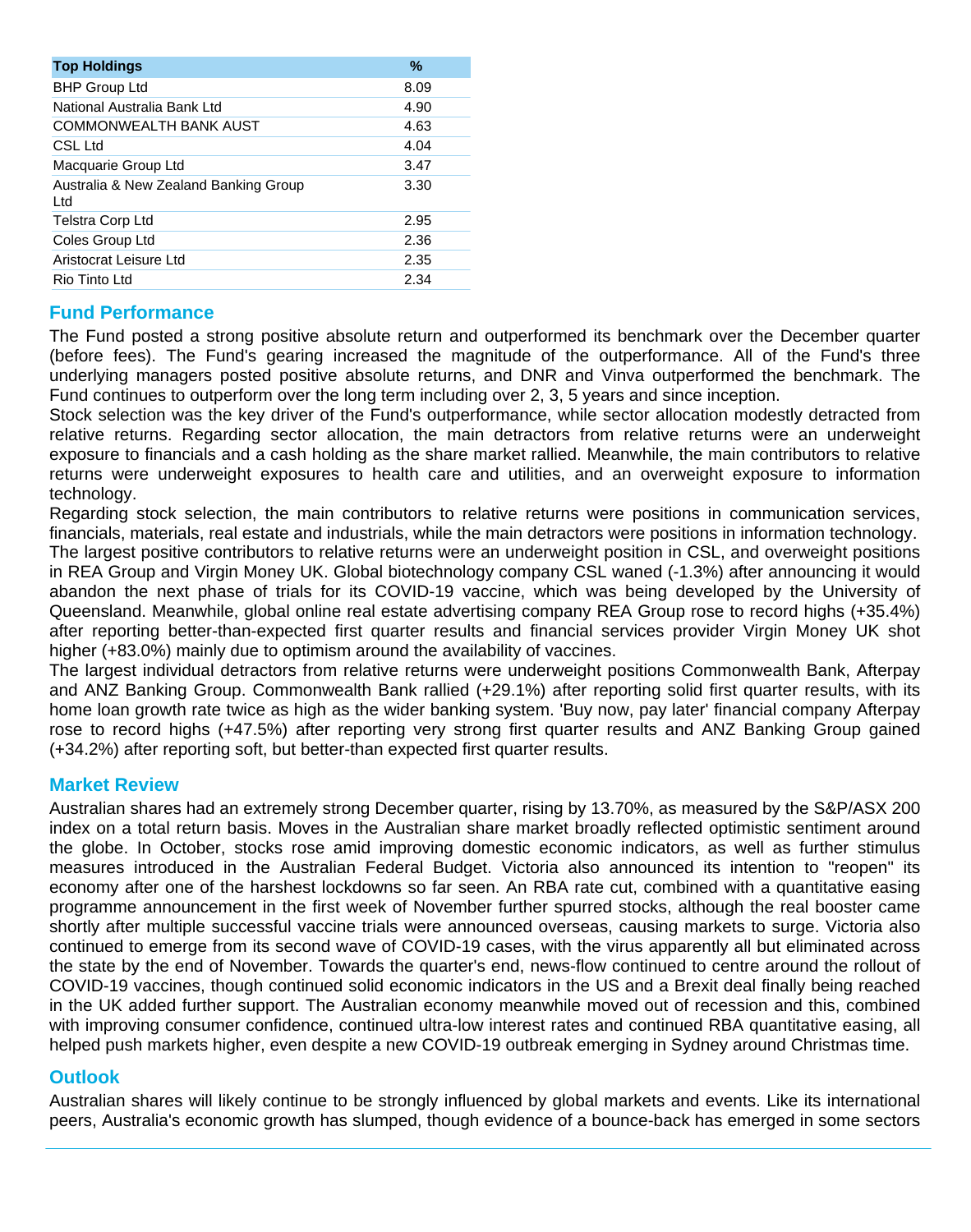| <b>Top Holdings</b>                           | $\frac{9}{6}$ |
|-----------------------------------------------|---------------|
| <b>BHP Group Ltd</b>                          | 8.09          |
| National Australia Bank Ltd                   | 4.90          |
| COMMONWEALTH BANK AUST                        | 4.63          |
| CSL Ltd                                       | 4.04          |
| Macquarie Group Ltd                           | 3.47          |
| Australia & New Zealand Banking Group<br>Ltd. | 3.30          |
| Telstra Corp Ltd                              | 2.95          |
| Coles Group Ltd                               | 2.36          |
| Aristocrat Leisure Ltd                        | 2.35          |
| Rio Tinto Ltd                                 | 2.34          |

### **Fund Performance**

The Fund posted a strong positive absolute return and outperformed its benchmark over the December quarter (before fees). The Fund's gearing increased the magnitude of the outperformance. All of the Fund's three underlying managers posted positive absolute returns, and DNR and Vinva outperformed the benchmark. The Fund continues to outperform over the long term including over 2, 3, 5 years and since inception.

Stock selection was the key driver of the Fund's outperformance, while sector allocation modestly detracted from relative returns. Regarding sector allocation, the main detractors from relative returns were an underweight exposure to financials and a cash holding as the share market rallied. Meanwhile, the main contributors to relative returns were underweight exposures to health care and utilities, and an overweight exposure to information technology.

Regarding stock selection, the main contributors to relative returns were positions in communication services, financials, materials, real estate and industrials, while the main detractors were positions in information technology. The largest positive contributors to relative returns were an underweight position in CSL, and overweight positions in REA Group and Virgin Money UK. Global biotechnology company CSL waned (-1.3%) after announcing it would abandon the next phase of trials for its COVID-19 vaccine, which was being developed by the University of Queensland. Meanwhile, global online real estate advertising company REA Group rose to record highs (+35.4%) after reporting better-than-expected first quarter results and financial services provider Virgin Money UK shot higher (+83.0%) mainly due to optimism around the availability of vaccines.

The largest individual detractors from relative returns were underweight positions Commonwealth Bank, Afterpay and ANZ Banking Group. Commonwealth Bank rallied (+29.1%) after reporting solid first quarter results, with its home loan growth rate twice as high as the wider banking system. 'Buy now, pay later' financial company Afterpay rose to record highs (+47.5%) after reporting very strong first quarter results and ANZ Banking Group gained (+34.2%) after reporting soft, but better-than expected first quarter results.

#### **Market Review**

Australian shares had an extremely strong December quarter, rising by 13.70%, as measured by the S&P/ASX 200 index on a total return basis. Moves in the Australian share market broadly reflected optimistic sentiment around the globe. In October, stocks rose amid improving domestic economic indicators, as well as further stimulus measures introduced in the Australian Federal Budget. Victoria also announced its intention to "reopen" its economy after one of the harshest lockdowns so far seen. An RBA rate cut, combined with a quantitative easing programme announcement in the first week of November further spurred stocks, although the real booster came shortly after multiple successful vaccine trials were announced overseas, causing markets to surge. Victoria also continued to emerge from its second wave of COVID-19 cases, with the virus apparently all but eliminated across the state by the end of November. Towards the quarter's end, news-flow continued to centre around the rollout of COVID-19 vaccines, though continued solid economic indicators in the US and a Brexit deal finally being reached in the UK added further support. The Australian economy meanwhile moved out of recession and this, combined with improving consumer confidence, continued ultra-low interest rates and continued RBA quantitative easing, all helped push markets higher, even despite a new COVID-19 outbreak emerging in Sydney around Christmas time.

#### **Outlook**

Australian shares will likely continue to be strongly influenced by global markets and events. Like its international peers, Australia's economic growth has slumped, though evidence of a bounce-back has emerged in some sectors as borders are opened, pandemic restrictions wound down, and GDP returns to some form of normalcy. Australia's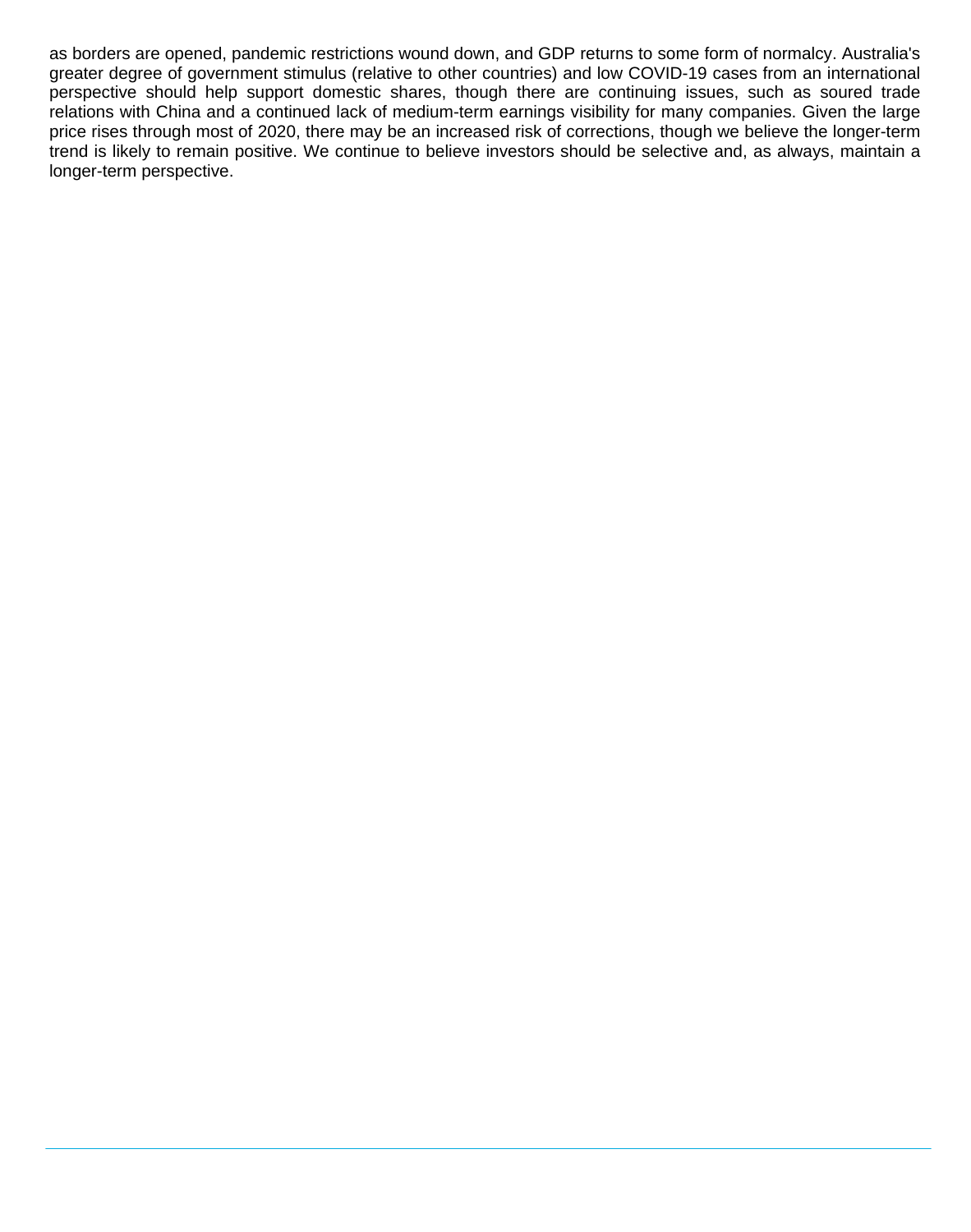as borders are opened, pandemic restrictions wound down, and GDP returns to some form of normalcy. Australia's greater degree of government stimulus (relative to other countries) and low COVID-19 cases from an international perspective should help support domestic shares, though there are continuing issues, such as soured trade relations with China and a continued lack of medium-term earnings visibility for many companies. Given the large price rises through most of 2020, there may be an increased risk of corrections, though we believe the longer-term trend is likely to remain positive. We continue to believe investors should be selective and, as always, maintain a longer-term perspective.